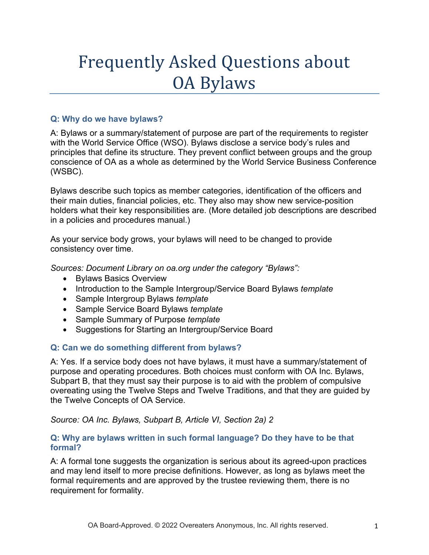# Frequently Asked Questions about OA Bylaws

# **Q: Why do we have bylaws?**

A: Bylaws or a summary/statement of purpose are part of the requirements to register with the World Service Office (WSO). Bylaws disclose a service body's rules and principles that define its structure. They prevent conflict between groups and the group conscience of OA as a whole as determined by the World Service Business Conference (WSBC).

Bylaws describe such topics as member categories, identification of the officers and their main duties, financial policies, etc. They also may show new service-position holders what their key responsibilities are. (More detailed job descriptions are described in a policies and procedures manual.)

As your service body grows, your bylaws will need to be changed to provide consistency over time.

*Sources: Document Library on oa.org under the category "Bylaws":*

- Bylaws Basics Overview
- Introduction to the Sample Intergroup/Service Board Bylaws *template*
- Sample Intergroup Bylaws *template*
- Sample Service Board Bylaws *template*
- Sample Summary of Purpose *template*
- Suggestions for Starting an Intergroup/Service Board

# **Q: Can we do something different from bylaws?**

A: Yes. If a service body does not have bylaws, it must have a summary/statement of purpose and operating procedures. Both choices must conform with OA Inc. Bylaws, Subpart B, that they must say their purpose is to aid with the problem of compulsive overeating using the Twelve Steps and Twelve Traditions, and that they are guided by the Twelve Concepts of OA Service.

*Source: OA Inc. Bylaws, Subpart B, Article VI, Section 2a) 2* 

### **Q: Why are bylaws written in such formal language? Do they have to be that formal?**

A: A formal tone suggests the organization is serious about its agreed-upon practices and may lend itself to more precise definitions. However, as long as bylaws meet the formal requirements and are approved by the trustee reviewing them, there is no requirement for formality.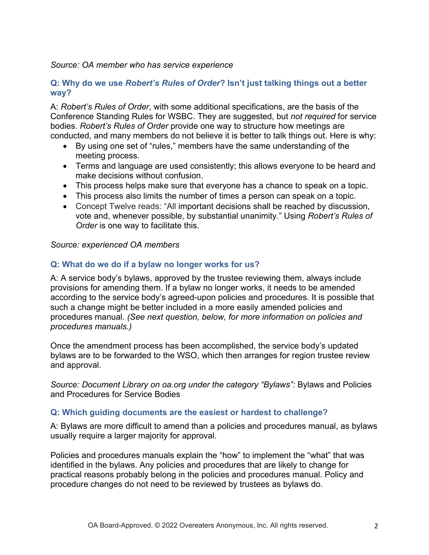#### *Source: OA member who has service experience*

### **Q: Why do we use** *Robert's Rules of Order***? Isn't just talking things out a better way?**

A: *Robert's Rules of Order*, with some additional specifications, are the basis of the Conference Standing Rules for WSBC. They are suggested, but *not required* for service bodies. *Robert's Rules of Order* provide one way to structure how meetings are conducted, and many members do not believe it is better to talk things out. Here is why:

- By using one set of "rules," members have the same understanding of the meeting process.
- Terms and language are used consistently; this allows everyone to be heard and make decisions without confusion.
- This process helps make sure that everyone has a chance to speak on a topic.
- This process also limits the number of times a person can speak on a topic.
- Concept Twelve reads: "All important decisions shall be reached by discussion, vote and, whenever possible, by substantial unanimity." Using *Robert's Rules of Order* is one way to facilitate this.

#### *Source: experienced OA members*

#### **Q: What do we do if a bylaw no longer works for us?**

A: A service body's bylaws, approved by the trustee reviewing them, always include provisions for amending them. If a bylaw no longer works, it needs to be amended according to the service body's agreed-upon policies and procedures. It is possible that such a change might be better included in a more easily amended policies and procedures manual. *(See next question, below, for more information on policies and procedures manuals.)*

Once the amendment process has been accomplished, the service body's updated bylaws are to be forwarded to the WSO, which then arranges for region trustee review and approval.

*Source: Document Library on oa.org under the category "Bylaws":* Bylaws and Policies and Procedures for Service Bodies

#### **Q: Which guiding documents are the easiest or hardest to challenge?**

A: Bylaws are more difficult to amend than a policies and procedures manual, as bylaws usually require a larger majority for approval.

Policies and procedures manuals explain the "how" to implement the "what" that was identified in the bylaws. Any policies and procedures that are likely to change for practical reasons probably belong in the policies and procedures manual. Policy and procedure changes do not need to be reviewed by trustees as bylaws do.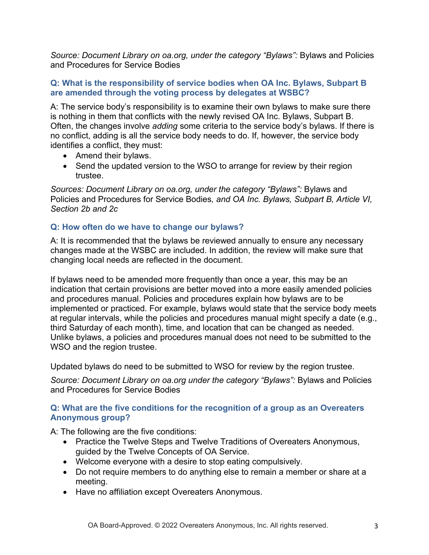*Source: Document Library on oa.org, under the category "Bylaws":* Bylaws and Policies and Procedures for Service Bodies

# **Q: What is the responsibility of service bodies when OA Inc. Bylaws, Subpart B are amended through the voting process by delegates at WSBC?**

A: The service body's responsibility is to examine their own bylaws to make sure there is nothing in them that conflicts with the newly revised OA Inc. Bylaws, Subpart B. Often, the changes involve *adding* some criteria to the service body's bylaws. If there is no conflict, adding is all the service body needs to do. If, however, the service body identifies a conflict, they must:

- Amend their bylaws.
- Send the updated version to the WSO to arrange for review by their region trustee.

*Sources: Document Library on oa.org, under the category "Bylaws":* Bylaws and Policies and Procedures for Service Bodies*, and OA Inc. Bylaws, Subpart B, Article VI, Section 2b and 2c* 

# **Q: How often do we have to change our bylaws?**

A: It is recommended that the bylaws be reviewed annually to ensure any necessary changes made at the WSBC are included. In addition, the review will make sure that changing local needs are reflected in the document.

If bylaws need to be amended more frequently than once a year, this may be an indication that certain provisions are better moved into a more easily amended policies and procedures manual. Policies and procedures explain how bylaws are to be implemented or practiced. For example, bylaws would state that the service body meets at regular intervals, while the policies and procedures manual might specify a date (e.g., third Saturday of each month), time, and location that can be changed as needed. Unlike bylaws, a policies and procedures manual does not need to be submitted to the WSO and the region trustee.

Updated bylaws do need to be submitted to WSO for review by the region trustee.

*Source: Document Library on oa.org under the category "Bylaws":* Bylaws and Policies and Procedures for Service Bodies

### **Q: What are the five conditions for the recognition of a group as an Overeaters Anonymous group?**

A: The following are the five conditions:

- Practice the Twelve Steps and Twelve Traditions of Overeaters Anonymous, guided by the Twelve Concepts of OA Service.
- Welcome everyone with a desire to stop eating compulsively.
- Do not require members to do anything else to remain a member or share at a meeting.
- Have no affiliation except Overeaters Anonymous.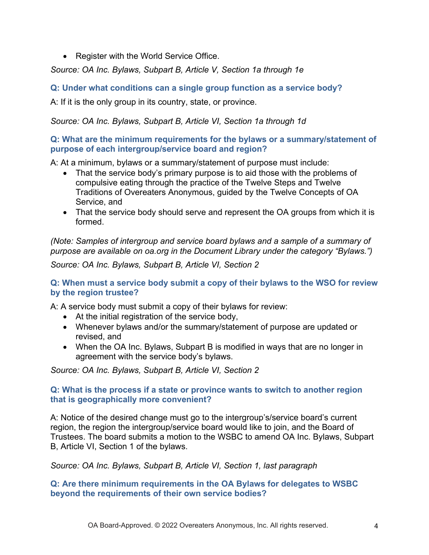• Register with the World Service Office.

*Source: OA Inc. Bylaws, Subpart B, Article V, Section 1a through 1e* 

**Q: Under what conditions can a single group function as a service body?** 

A: If it is the only group in its country, state, or province.

# *Source: OA Inc. Bylaws, Subpart B, Article VI, Section 1a through 1d*

# **Q: What are the minimum requirements for the bylaws or a summary/statement of purpose of each intergroup/service board and region?**

A: At a minimum, bylaws or a summary/statement of purpose must include:

- That the service body's primary purpose is to aid those with the problems of compulsive eating through the practice of the Twelve Steps and Twelve Traditions of Overeaters Anonymous, guided by the Twelve Concepts of OA Service, and
- That the service body should serve and represent the OA groups from which it is formed.

*(Note: Samples of intergroup and service board bylaws and a sample of a summary of purpose are available on oa.org in the Document Library under the category "Bylaws.")* 

*Source: OA Inc. Bylaws, Subpart B, Article VI, Section 2* 

# **Q: When must a service body submit a copy of their bylaws to the WSO for review by the region trustee?**

A: A service body must submit a copy of their bylaws for review:

- At the initial registration of the service body,
- Whenever bylaws and/or the summary/statement of purpose are updated or revised, and
- When the OA Inc. Bylaws, Subpart B is modified in ways that are no longer in agreement with the service body's bylaws.

*Source: OA Inc. Bylaws, Subpart B, Article VI, Section 2* 

# **Q: What is the process if a state or province wants to switch to another region that is geographically more convenient?**

A: Notice of the desired change must go to the intergroup's/service board's current region, the region the intergroup/service board would like to join, and the Board of Trustees. The board submits a motion to the WSBC to amend OA Inc. Bylaws, Subpart B, Article VI, Section 1 of the bylaws.

*Source: OA Inc. Bylaws, Subpart B, Article VI, Section 1, last paragraph*

# **Q: Are there minimum requirements in the OA Bylaws for delegates to WSBC beyond the requirements of their own service bodies?**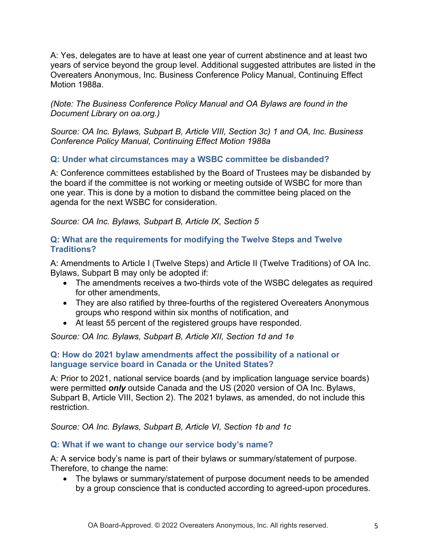A: Yes, delegates are to have at least one year of current abstinence and at least two years of service beyond the group level. Additional suggested attributes are listed in the Overeaters Anonymous, Inc. Business Conference Policy Manual, Continuing Effect Motion 1988a.

*(Note: The Business Conference Policy Manual and OA Bylaws are found in the Document Library on oa.org.)*

*Source: OA Inc. Bylaws, Subpart B, Article VIII, Section 3c) 1 and OA, Inc. Business Conference Policy Manual, Continuing Effect Motion 1988a*

# **Q: Under what circumstances may a WSBC committee be disbanded?**

A: Conference committees established by the Board of Trustees may be disbanded by the board if the committee is not working or meeting outside of WSBC for more than one year. This is done by a motion to disband the committee being placed on the agenda for the next WSBC for consideration.

# *Source: OA Inc. Bylaws, Subpart B, Article IX, Section 5*

# **Q: What are the requirements for modifying the Twelve Steps and Twelve Traditions?**

A: Amendments to Article I (Twelve Steps) and Article II (Twelve Traditions) of OA Inc. Bylaws, Subpart B may only be adopted if:

- The amendments receives a two-thirds vote of the WSBC delegates as required for other amendments,
- They are also ratified by three-fourths of the registered Overeaters Anonymous groups who respond within six months of notification, and
- At least 55 percent of the registered groups have responded.

*Source: OA Inc. Bylaws, Subpart B, Article XII, Section 1d and 1e* 

### **Q: How do 2021 bylaw amendments affect the possibility of a national or language service board in Canada or the United States?**

A: Prior to 2021, national service boards (and by implication language service boards) were permitted *only* outside Canada and the US (2020 version of OA Inc. Bylaws, Subpart B, Article VIII, Section 2). The 2021 bylaws, as amended, do not include this restriction.

*Source: OA Inc. Bylaws, Subpart B, Article VI, Section 1b and 1c* 

# **Q: What if we want to change our service body's name?**

A: A service body's name is part of their bylaws or summary/statement of purpose. Therefore, to change the name:

• The bylaws or summary/statement of purpose document needs to be amended by a group conscience that is conducted according to agreed-upon procedures.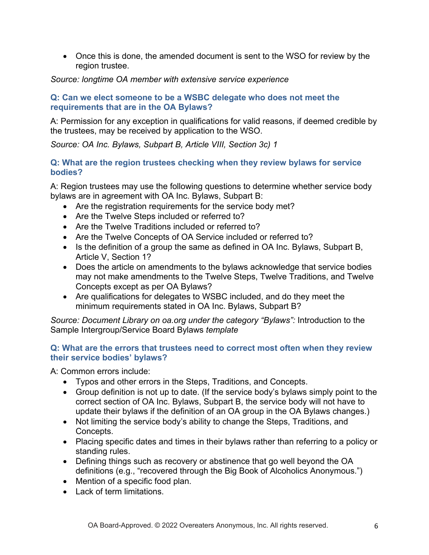• Once this is done, the amended document is sent to the WSO for review by the region trustee.

### *Source: longtime OA member with extensive service experience*

### **Q: Can we elect someone to be a WSBC delegate who does not meet the requirements that are in the OA Bylaws?**

A: Permission for any exception in qualifications for valid reasons, if deemed credible by the trustees, may be received by application to the WSO.

*Source: OA Inc. Bylaws, Subpart B, Article VIII, Section 3c) 1* 

# **Q: What are the region trustees checking when they review bylaws for service bodies?**

A: Region trustees may use the following questions to determine whether service body bylaws are in agreement with OA Inc. Bylaws, Subpart B:

- Are the registration requirements for the service body met?
- Are the Twelve Steps included or referred to?
- Are the Twelve Traditions included or referred to?
- Are the Twelve Concepts of OA Service included or referred to?
- Is the definition of a group the same as defined in OA Inc. Bylaws, Subpart B, Article V, Section 1?
- Does the article on amendments to the bylaws acknowledge that service bodies may not make amendments to the Twelve Steps, Twelve Traditions, and Twelve Concepts except as per OA Bylaws?
- Are qualifications for delegates to WSBC included, and do they meet the minimum requirements stated in OA Inc. Bylaws, Subpart B?

*Source: Document Library on oa.org under the category "Bylaws":* Introduction to the Sample Intergroup/Service Board Bylaws *template* 

### **Q: What are the errors that trustees need to correct most often when they review their service bodies' bylaws?**

A: Common errors include:

- Typos and other errors in the Steps, Traditions, and Concepts.
- Group definition is not up to date. (If the service body's bylaws simply point to the correct section of OA Inc. Bylaws, Subpart B, the service body will not have to update their bylaws if the definition of an OA group in the OA Bylaws changes.)
- Not limiting the service body's ability to change the Steps, Traditions, and Concepts.
- Placing specific dates and times in their bylaws rather than referring to a policy or standing rules.
- Defining things such as recovery or abstinence that go well beyond the OA definitions (e.g., "recovered through the Big Book of Alcoholics Anonymous.")
- Mention of a specific food plan.
- Lack of term limitations.